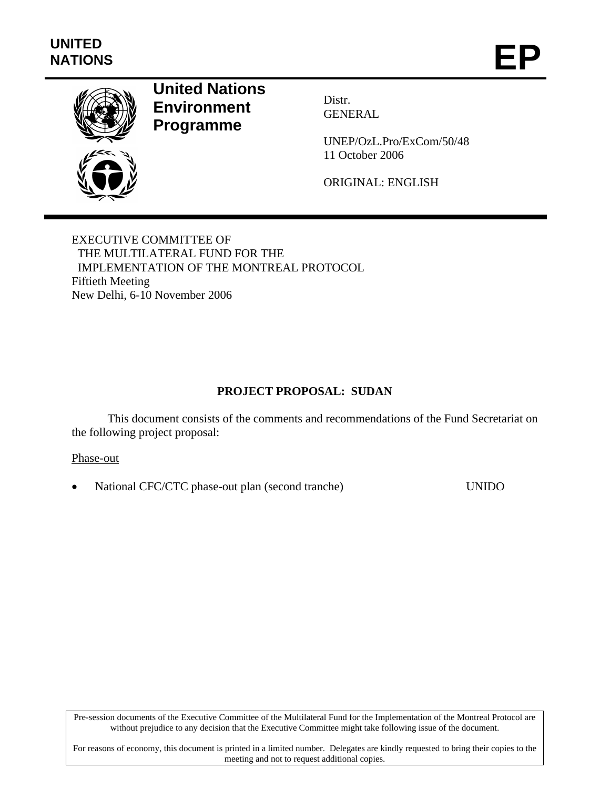

# **United Nations Environment Programme**

Distr. GENERAL

UNEP/OzL.Pro/ExCom/50/48 11 October 2006

ORIGINAL: ENGLISH

EXECUTIVE COMMITTEE OF THE MULTILATERAL FUND FOR THE IMPLEMENTATION OF THE MONTREAL PROTOCOL Fiftieth Meeting New Delhi, 6-10 November 2006

# **PROJECT PROPOSAL: SUDAN**

This document consists of the comments and recommendations of the Fund Secretariat on the following project proposal:

### Phase-out

• National CFC/CTC phase-out plan (second tranche) UNIDO

Pre-session documents of the Executive Committee of the Multilateral Fund for the Implementation of the Montreal Protocol are without prejudice to any decision that the Executive Committee might take following issue of the document.

For reasons of economy, this document is printed in a limited number. Delegates are kindly requested to bring their copies to the meeting and not to request additional copies.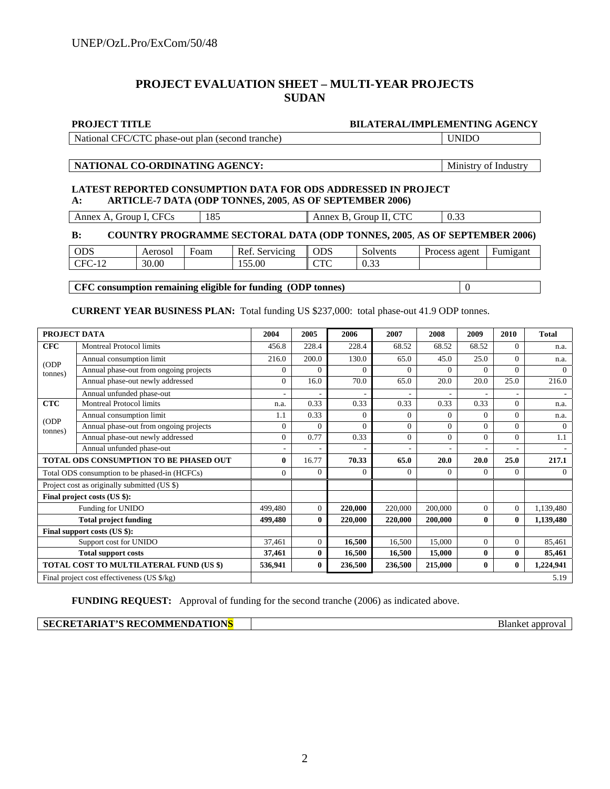# **PROJECT EVALUATION SHEET – MULTI-YEAR PROJECTS SUDAN**

#### **PROJECT TITLE BILATERAL/IMPLEMENTING AGENCY**

| National CFC/CTC phase-out plan (second tranche) | l UNIDO |
|--------------------------------------------------|---------|
|--------------------------------------------------|---------|

#### NATIONAL CO-ORDINATING AGENCY: Ministry of Industry

#### **LATEST REPORTED CONSUMPTION DATA FOR ODS ADDRESSED IN PROJECT A: ARTICLE-7 DATA (ODP TONNES, 2005**, **AS OF SEPTEMBER 2006)**

|                                       |            |                                     | $\sim$ |
|---------------------------------------|------------|-------------------------------------|--------|
| CFC <sub>s</sub><br>Annex A,<br>Group | 105<br>105 | CTC<br>Annex<br>'Group II. CTC<br>в | 0.3    |

#### **B: COUNTRY PROGRAMME SECTORAL DATA (ODP TONNES, 2005**, **AS OF SEPTEMBER 2006)**

| <b>ODS</b>                                                                     | Aerosol | Foam | Ref<br>Servicing | <b>ODS</b>                         | $\sim$<br>Solvents                   | agent<br><b>Process</b> | -<br>Fumigant |
|--------------------------------------------------------------------------------|---------|------|------------------|------------------------------------|--------------------------------------|-------------------------|---------------|
| $\cap$<br>1 <sub>0</sub><br>$^{\circ}$ FC $^{\circ}$<br>$-1$<br>$\overline{1}$ | 30.00   |      | 155.00           | $\cap$ T $\cap$<br>$\sim$ 1 $\sim$ | $\sim$<br>$\sim$<br>$\upsilon\ldots$ |                         |               |
|                                                                                |         |      |                  |                                    |                                      |                         |               |

### **CFC consumption remaining eligible for funding (ODP tonnes)**  $\boxed{0}$

#### **CURRENT YEAR BUSINESS PLAN:** Total funding US \$237,000: total phase-out 41.9 ODP tonnes.

| PROJECT DATA                                  |                                               | 2004           | 2005           | 2006     | 2007     | 2008     | 2009        | 2010           | <b>Total</b> |
|-----------------------------------------------|-----------------------------------------------|----------------|----------------|----------|----------|----------|-------------|----------------|--------------|
| <b>CFC</b>                                    | <b>Montreal Protocol limits</b>               |                | 228.4          | 228.4    | 68.52    | 68.52    | 68.52       | 0              | n.a.         |
| (ODP)                                         | Annual consumption limit                      | 216.0          | 200.0          | 130.0    | 65.0     | 45.0     | 25.0        | $\Omega$       | n.a.         |
| tonnes)                                       | Annual phase-out from ongoing projects        | 0              | $\Omega$       | $\Omega$ | 0        | $\Omega$ | $\Omega$    | $\Omega$       | $\Omega$     |
|                                               | Annual phase-out newly addressed              | $\Omega$       | 16.0           | 70.0     | 65.0     | 20.0     | 20.0        | 25.0           | 216.0        |
|                                               | Annual unfunded phase-out                     |                |                |          |          |          |             |                |              |
| <b>CTC</b>                                    | <b>Montreal Protocol limits</b>               | n.a.           | 0.33           | 0.33     | 0.33     | 0.33     | 0.33        | $\Omega$       | n.a.         |
|                                               | Annual consumption limit                      | 1.1            | 0.33           | $\Omega$ | $\Omega$ | $\Omega$ | $\Omega$    | $\Omega$       | n.a.         |
| (ODP<br>tonnes)                               | Annual phase-out from ongoing projects        | $\overline{0}$ | $\overline{0}$ | $\Omega$ | 0        | $\Omega$ | $\Omega$    | $\Omega$       | $\Omega$     |
|                                               | Annual phase-out newly addressed              | $\mathbf{0}$   | 0.77           | 0.33     | $\Omega$ | $\Omega$ | $\Omega$    | $\Omega$       | 1.1          |
|                                               | Annual unfunded phase-out                     |                |                |          |          |          |             |                |              |
| <b>TOTAL ODS CONSUMPTION TO BE PHASED OUT</b> |                                               | $\mathbf{0}$   | 16.77          | 70.33    | 65.0     | 20.0     | <b>20.0</b> | 25.0           | 217.1        |
|                                               | Total ODS consumption to be phased-in (HCFCs) | $\overline{0}$ | $\Omega$       | $\Omega$ | $\Omega$ | $\Omega$ | $\Omega$    | $\Omega$       | $\Omega$     |
|                                               | Project cost as originally submitted (US \$)  |                |                |          |          |          |             |                |              |
|                                               | Final project costs (US \$):                  |                |                |          |          |          |             |                |              |
|                                               | Funding for UNIDO                             | 499,480        | $\mathbf{0}$   | 220,000  | 220,000  | 200,000  | $\Omega$    | $\overline{0}$ | 1,139,480    |
|                                               | <b>Total project funding</b>                  | 499,480        | $\bf{0}$       | 220,000  | 220,000  | 200,000  | 0           | $\bf{0}$       | 1,139,480    |
| Final support costs (US \$):                  |                                               |                |                |          |          |          |             |                |              |
| Support cost for UNIDO                        |                                               | 37,461         | $\mathbf{0}$   | 16,500   | 16,500   | 15,000   | $\Omega$    | $\Omega$       | 85,461       |
| <b>Total support costs</b>                    |                                               | 37,461         | $\bf{0}$       | 16,500   | 16,500   | 15,000   | $\bf{0}$    | $\bf{0}$       | 85,461       |
|                                               | TOTAL COST TO MULTILATERAL FUND (US \$)       | 536,941        | $\bf{0}$       | 236,500  | 236,500  | 215,000  | $\bf{0}$    | $\mathbf{0}$   | 1,224,941    |
|                                               | Final project cost effectiveness (US \$/kg)   |                |                |          |          |          |             |                | 5.19         |

**FUNDING REQUEST:** Approval of funding for the second tranche (2006) as indicated above.

**Blanket approval**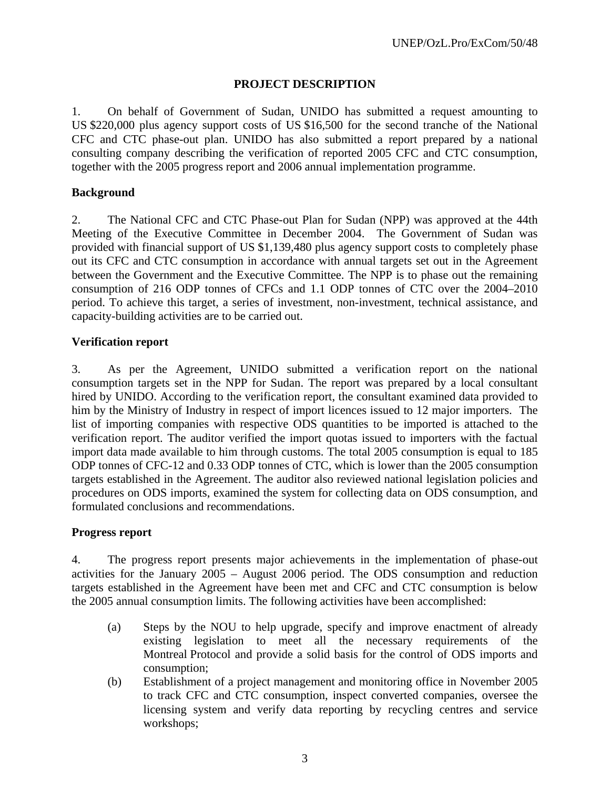# **PROJECT DESCRIPTION**

1. On behalf of Government of Sudan, UNIDO has submitted a request amounting to US \$220,000 plus agency support costs of US \$16,500 for the second tranche of the National CFC and CTC phase-out plan. UNIDO has also submitted a report prepared by a national consulting company describing the verification of reported 2005 CFC and CTC consumption, together with the 2005 progress report and 2006 annual implementation programme.

# **Background**

2. The National CFC and CTC Phase-out Plan for Sudan (NPP) was approved at the 44th Meeting of the Executive Committee in December 2004. The Government of Sudan was provided with financial support of US \$1,139,480 plus agency support costs to completely phase out its CFC and CTC consumption in accordance with annual targets set out in the Agreement between the Government and the Executive Committee. The NPP is to phase out the remaining consumption of 216 ODP tonnes of CFCs and 1.1 ODP tonnes of CTC over the 2004–2010 period. To achieve this target, a series of investment, non-investment, technical assistance, and capacity-building activities are to be carried out.

# **Verification report**

3. As per the Agreement, UNIDO submitted a verification report on the national consumption targets set in the NPP for Sudan. The report was prepared by a local consultant hired by UNIDO. According to the verification report, the consultant examined data provided to him by the Ministry of Industry in respect of import licences issued to 12 major importers. The list of importing companies with respective ODS quantities to be imported is attached to the verification report. The auditor verified the import quotas issued to importers with the factual import data made available to him through customs. The total 2005 consumption is equal to 185 ODP tonnes of CFC-12 and 0.33 ODP tonnes of CTC, which is lower than the 2005 consumption targets established in the Agreement. The auditor also reviewed national legislation policies and procedures on ODS imports, examined the system for collecting data on ODS consumption, and formulated conclusions and recommendations.

# **Progress report**

4. The progress report presents major achievements in the implementation of phase-out activities for the January 2005 – August 2006 period. The ODS consumption and reduction targets established in the Agreement have been met and CFC and CTC consumption is below the 2005 annual consumption limits. The following activities have been accomplished:

- (a) Steps by the NOU to help upgrade, specify and improve enactment of already existing legislation to meet all the necessary requirements of the Montreal Protocol and provide a solid basis for the control of ODS imports and consumption;
- (b) Establishment of a project management and monitoring office in November 2005 to track CFC and CTC consumption, inspect converted companies, oversee the licensing system and verify data reporting by recycling centres and service workshops;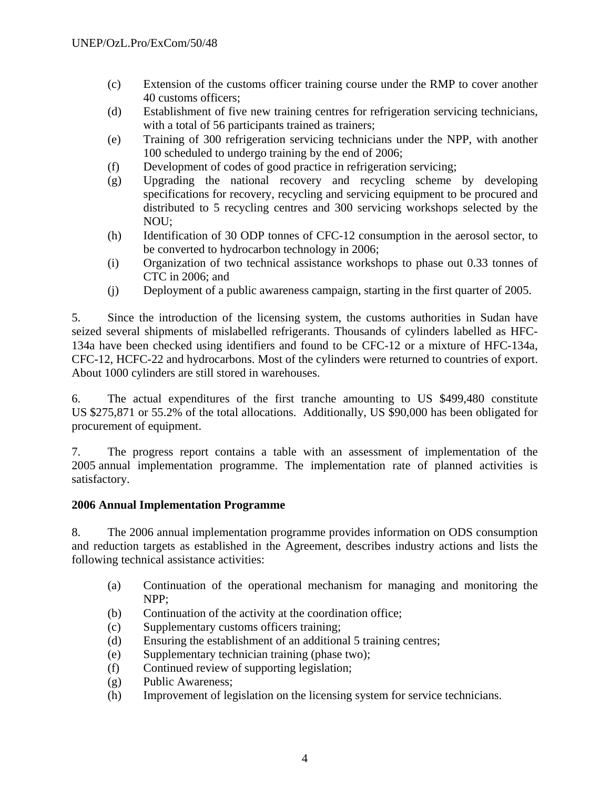- (c) Extension of the customs officer training course under the RMP to cover another 40 customs officers;
- (d) Establishment of five new training centres for refrigeration servicing technicians, with a total of 56 participants trained as trainers;
- (e) Training of 300 refrigeration servicing technicians under the NPP, with another 100 scheduled to undergo training by the end of 2006;
- (f) Development of codes of good practice in refrigeration servicing;
- (g) Upgrading the national recovery and recycling scheme by developing specifications for recovery, recycling and servicing equipment to be procured and distributed to 5 recycling centres and 300 servicing workshops selected by the NOU;
- (h) Identification of 30 ODP tonnes of CFC-12 consumption in the aerosol sector, to be converted to hydrocarbon technology in 2006;
- (i) Organization of two technical assistance workshops to phase out 0.33 tonnes of CTC in 2006; and
- (j) Deployment of a public awareness campaign, starting in the first quarter of 2005.

5. Since the introduction of the licensing system, the customs authorities in Sudan have seized several shipments of mislabelled refrigerants. Thousands of cylinders labelled as HFC-134a have been checked using identifiers and found to be CFC-12 or a mixture of HFC-134a, CFC-12, HCFC-22 and hydrocarbons. Most of the cylinders were returned to countries of export. About 1000 cylinders are still stored in warehouses.

6. The actual expenditures of the first tranche amounting to US \$499,480 constitute US \$275,871 or 55.2% of the total allocations. Additionally, US \$90,000 has been obligated for procurement of equipment.

7. The progress report contains a table with an assessment of implementation of the 2005 annual implementation programme. The implementation rate of planned activities is satisfactory.

# **2006 Annual Implementation Programme**

8. The 2006 annual implementation programme provides information on ODS consumption and reduction targets as established in the Agreement, describes industry actions and lists the following technical assistance activities:

- (a) Continuation of the operational mechanism for managing and monitoring the NPP;
- (b) Continuation of the activity at the coordination office;
- (c) Supplementary customs officers training;
- (d) Ensuring the establishment of an additional 5 training centres;
- (e) Supplementary technician training (phase two);
- (f) Continued review of supporting legislation;
- (g) Public Awareness;
- (h) Improvement of legislation on the licensing system for service technicians.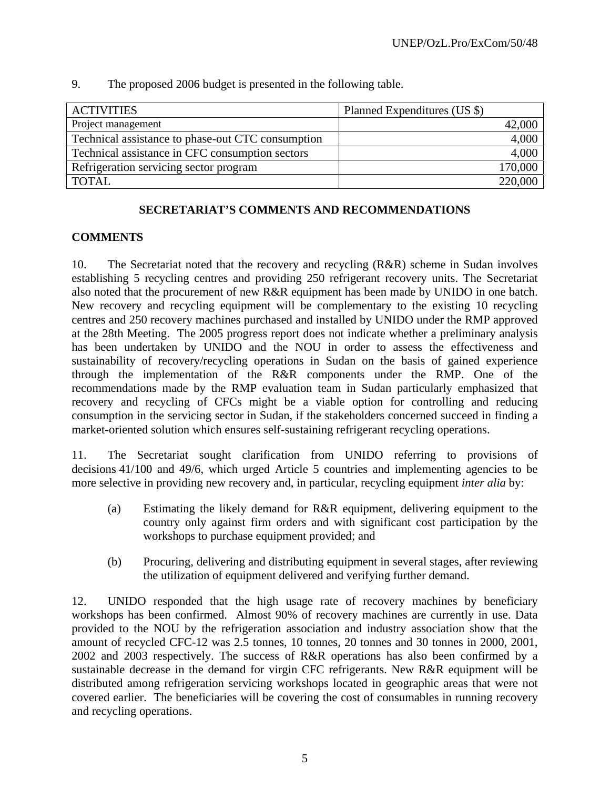| <b>ACTIVITIES</b>                                 | Planned Expenditures (US \$) |
|---------------------------------------------------|------------------------------|
| Project management                                | 42,000                       |
| Technical assistance to phase-out CTC consumption | 4,000                        |
| Technical assistance in CFC consumption sectors   | 4,000                        |
| Refrigeration servicing sector program            | 170,000                      |
| <b>TOTAL</b>                                      | 220,000                      |

9. The proposed 2006 budget is presented in the following table.

# **SECRETARIAT'S COMMENTS AND RECOMMENDATIONS**

# **COMMENTS**

10. The Secretariat noted that the recovery and recycling (R&R) scheme in Sudan involves establishing 5 recycling centres and providing 250 refrigerant recovery units. The Secretariat also noted that the procurement of new R&R equipment has been made by UNIDO in one batch. New recovery and recycling equipment will be complementary to the existing 10 recycling centres and 250 recovery machines purchased and installed by UNIDO under the RMP approved at the 28th Meeting. The 2005 progress report does not indicate whether a preliminary analysis has been undertaken by UNIDO and the NOU in order to assess the effectiveness and sustainability of recovery/recycling operations in Sudan on the basis of gained experience through the implementation of the R&R components under the RMP. One of the recommendations made by the RMP evaluation team in Sudan particularly emphasized that recovery and recycling of CFCs might be a viable option for controlling and reducing consumption in the servicing sector in Sudan, if the stakeholders concerned succeed in finding a market-oriented solution which ensures self-sustaining refrigerant recycling operations.

11. The Secretariat sought clarification from UNIDO referring to provisions of decisions 41/100 and 49/6, which urged Article 5 countries and implementing agencies to be more selective in providing new recovery and, in particular, recycling equipment *inter alia* by:

- (a) Estimating the likely demand for R&R equipment, delivering equipment to the country only against firm orders and with significant cost participation by the workshops to purchase equipment provided; and
- (b) Procuring, delivering and distributing equipment in several stages, after reviewing the utilization of equipment delivered and verifying further demand.

12. UNIDO responded that the high usage rate of recovery machines by beneficiary workshops has been confirmed. Almost 90% of recovery machines are currently in use. Data provided to the NOU by the refrigeration association and industry association show that the amount of recycled CFC-12 was 2.5 tonnes, 10 tonnes, 20 tonnes and 30 tonnes in 2000, 2001, 2002 and 2003 respectively. The success of R&R operations has also been confirmed by a sustainable decrease in the demand for virgin CFC refrigerants. New R&R equipment will be distributed among refrigeration servicing workshops located in geographic areas that were not covered earlier. The beneficiaries will be covering the cost of consumables in running recovery and recycling operations.